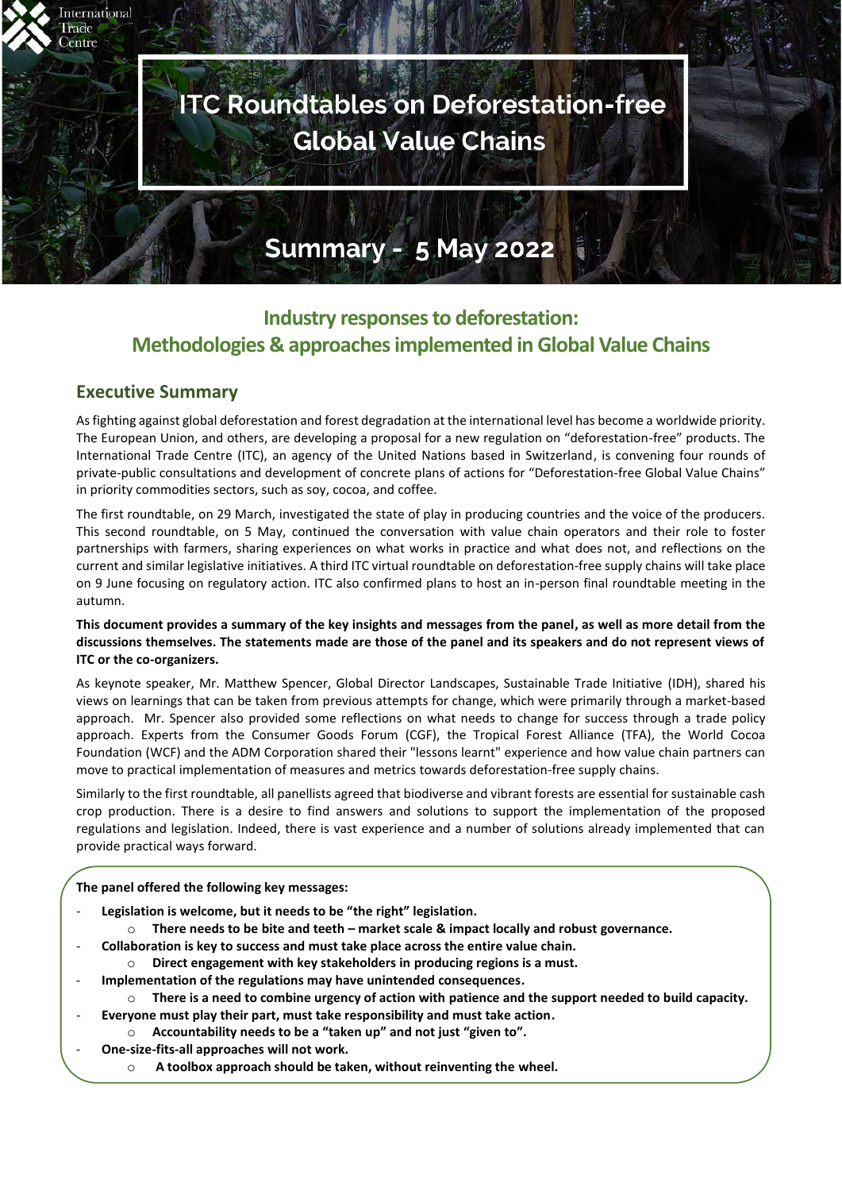# **ITC Roundtables on Deforestation-free Global Value Chains**

# **Summary - 5 May 2022**

# **Industry responses to deforestation: Methodologies & approaches implemented in Global Value Chains**

# <span id="page-0-0"></span>**Executive Summary**

International **Trade** lentre

> As fighting against global deforestation and forest degradation at the international level has become a worldwide priority. The European Union, and others, are developing a proposal for a new regulation on "deforestation-free" products. The International Trade Centre (ITC), an agency of the United Nations based in Switzerland, is convening four rounds of private-public consultations and development of concrete plans of actions for "Deforestation-free Global Value Chains" in priority commodities sectors, such as soy, cocoa, and coffee.

> The first roundtable, on 29 March, investigated the state of play in producing countries and the voice of the producers. This second roundtable, on 5 May, continued the conversation with value chain operators and their role to foster partnerships with farmers, sharing experiences on what works in practice and what does not, and reflections on the current and similar legislative initiatives. A third ITC virtual roundtable on deforestation-free supply chains will take place on 9 June focusing on regulatory action. ITC also confirmed plans to host an in-person final roundtable meeting in the autumn.

#### **This document provides a summary of the key insights and messages from the panel, as well as more detail from the discussions themselves. The statements made are those of the panel and its speakers and do not represent views of ITC or the co-organizers.**

As keynote speaker, Mr. Matthew Spencer, Global Director Landscapes, Sustainable Trade Initiative (IDH), shared his views on learnings that can be taken from previous attempts for change, which were primarily through a market-based approach. Mr. Spencer also provided some reflections on what needs to change for success through a trade policy approach. Experts from the Consumer Goods Forum (CGF), the Tropical Forest Alliance (TFA), the World Cocoa Foundation (WCF) and the ADM Corporation shared their "lessons learnt" experience and how value chain partners can move to practical implementation of measures and metrics towards deforestation-free supply chains.

Similarly to the first roundtable, all panellists agreed that biodiverse and vibrant forests are essential for sustainable cash crop production. There is a desire to find answers and solutions to support the implementation of the proposed regulations and legislation. Indeed, there is vast experience and a number of solutions already implemented that can provide practical ways forward.

#### **The panel offered the following key messages:**

- **Legislation is welcome, but it needs to be "the right" legislation.** 
	- o **There needs to be bite and teeth – market scale & impact locally and robust governance.**
	- **Collaboration is key to success and must take place across the entire value chain.**
	- o **Direct engagement with key stakeholders in producing regions is a must.**
- **Implementation of the regulations may have unintended consequences.**
	- o **There is a need to combine urgency of action with patience and the support needed to build capacity.**
	- **Everyone must play their part, must take responsibility and must take action.**
		- o **Accountability needs to be a "taken up" and not just "given to".**
- **One-size-fits-all approaches will not work.**
	- o **A toolbox approach should be taken, without reinventing the wheel.**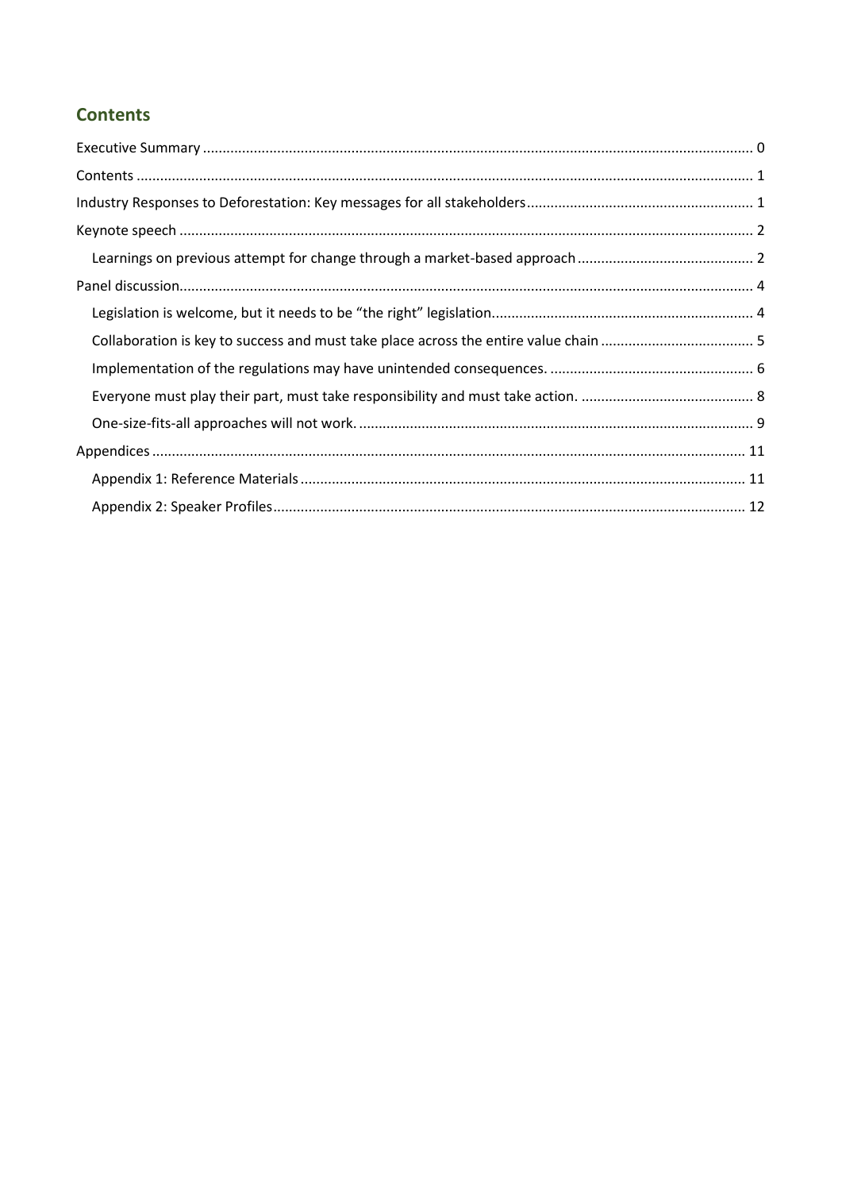# <span id="page-1-0"></span>**Contents**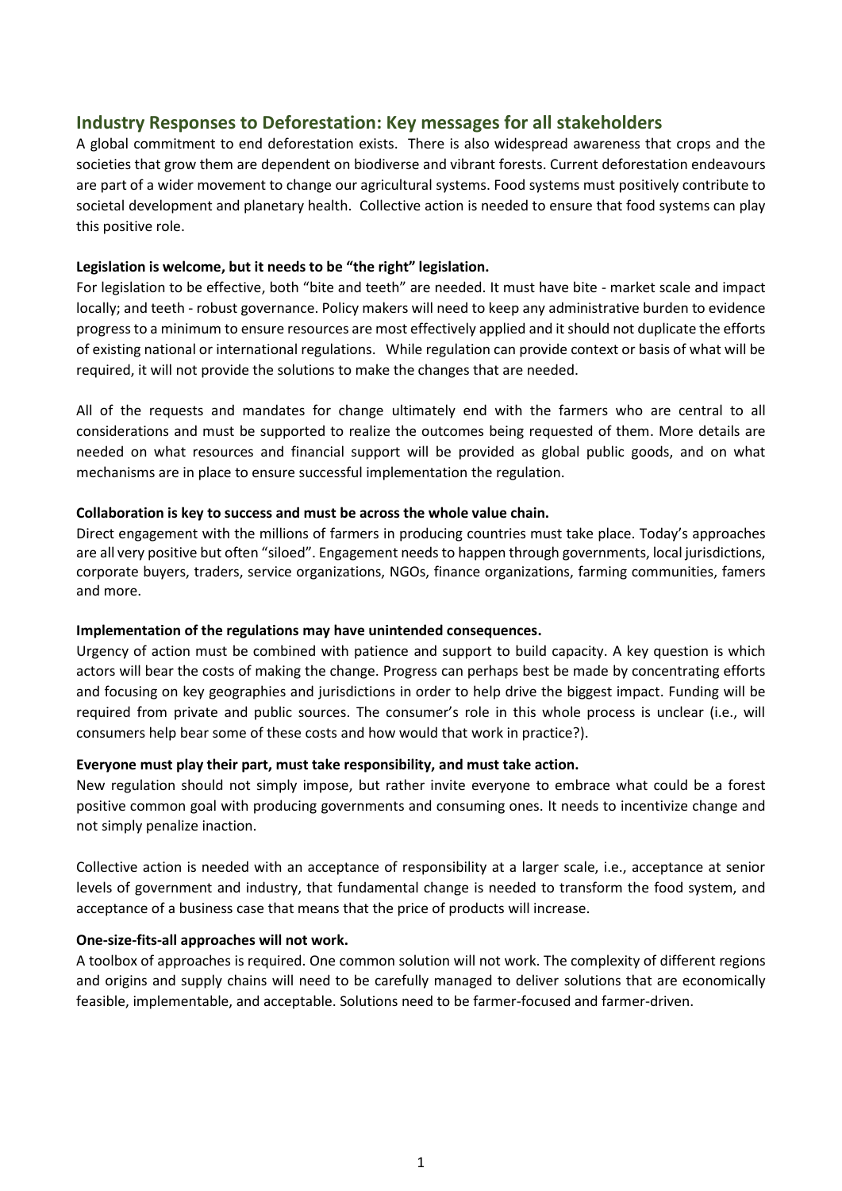# <span id="page-2-0"></span>**Industry Responses to Deforestation: Key messages for all stakeholders**

A global commitment to end deforestation exists. There is also widespread awareness that crops and the societies that grow them are dependent on biodiverse and vibrant forests. Current deforestation endeavours are part of a wider movement to change our agricultural systems. Food systems must positively contribute to societal development and planetary health. Collective action is needed to ensure that food systems can play this positive role.

#### **Legislation is welcome, but it needs to be "the right" legislation.**

For legislation to be effective, both "bite and teeth" are needed. It must have bite - market scale and impact locally; and teeth - robust governance. Policy makers will need to keep any administrative burden to evidence progressto a minimum to ensure resources are most effectively applied and it should not duplicate the efforts of existing national or international regulations. While regulation can provide context or basis of what will be required, it will not provide the solutions to make the changes that are needed.

All of the requests and mandates for change ultimately end with the farmers who are central to all considerations and must be supported to realize the outcomes being requested of them. More details are needed on what resources and financial support will be provided as global public goods, and on what mechanisms are in place to ensure successful implementation the regulation.

#### **Collaboration is key to success and must be across the whole value chain.**

Direct engagement with the millions of farmers in producing countries must take place. Today's approaches are all very positive but often "siloed". Engagement needs to happen through governments, local jurisdictions, corporate buyers, traders, service organizations, NGOs, finance organizations, farming communities, famers and more.

#### **Implementation of the regulations may have unintended consequences.**

Urgency of action must be combined with patience and support to build capacity. A key question is which actors will bear the costs of making the change. Progress can perhaps best be made by concentrating efforts and focusing on key geographies and jurisdictions in order to help drive the biggest impact. Funding will be required from private and public sources. The consumer's role in this whole process is unclear (i.e., will consumers help bear some of these costs and how would that work in practice?).

#### **Everyone must play their part, must take responsibility, and must take action.**

New regulation should not simply impose, but rather invite everyone to embrace what could be a forest positive common goal with producing governments and consuming ones. It needs to incentivize change and not simply penalize inaction.

Collective action is needed with an acceptance of responsibility at a larger scale, i.e., acceptance at senior levels of government and industry, that fundamental change is needed to transform the food system, and acceptance of a business case that means that the price of products will increase.

#### **One-size-fits-all approaches will not work.**

A toolbox of approaches is required. One common solution will not work. The complexity of different regions and origins and supply chains will need to be carefully managed to deliver solutions that are economically feasible, implementable, and acceptable. Solutions need to be farmer-focused and farmer-driven.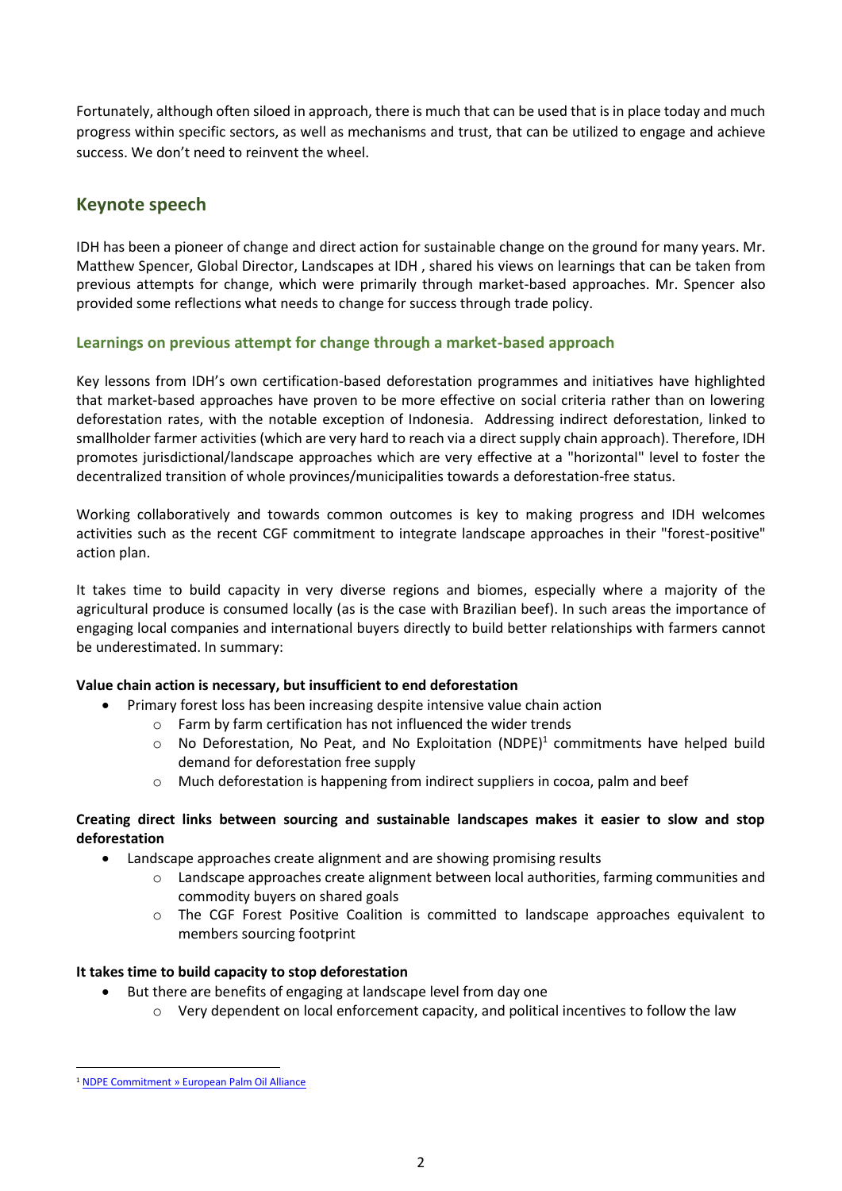Fortunately, although often siloed in approach, there is much that can be used that is in place today and much progress within specific sectors, as well as mechanisms and trust, that can be utilized to engage and achieve success. We don't need to reinvent the wheel.

# <span id="page-3-0"></span>**Keynote speech**

IDH has been a pioneer of change and direct action for sustainable change on the ground for many years. Mr. Matthew Spencer, Global Director, Landscapes at IDH , shared his views on learnings that can be taken from previous attempts for change, which were primarily through market-based approaches. Mr. Spencer also provided some reflections what needs to change for success through trade policy.

# <span id="page-3-1"></span>**Learnings on previous attempt for change through a market-based approach**

Key lessons from IDH's own certification-based deforestation programmes and initiatives have highlighted that market-based approaches have proven to be more effective on social criteria rather than on lowering deforestation rates, with the notable exception of Indonesia. Addressing indirect deforestation, linked to smallholder farmer activities (which are very hard to reach via a direct supply chain approach). Therefore, IDH promotes jurisdictional/landscape approaches which are very effective at a "horizontal" level to foster the decentralized transition of whole provinces/municipalities towards a deforestation-free status.

Working collaboratively and towards common outcomes is key to making progress and IDH welcomes activities such as the recent CGF commitment to integrate landscape approaches in their "forest-positive" action plan.

It takes time to build capacity in very diverse regions and biomes, especially where a majority of the agricultural produce is consumed locally (as is the case with Brazilian beef). In such areas the importance of engaging local companies and international buyers directly to build better relationships with farmers cannot be underestimated. In summary:

# **Value chain action is necessary, but insufficient to end deforestation**

- Primary forest loss has been increasing despite intensive value chain action
	- o Farm by farm certification has not influenced the wider trends
	- $\circ$  No Deforestation, No Peat, and No Exploitation (NDPE)<sup>1</sup> commitments have helped build demand for deforestation free supply
	- Much deforestation is happening from indirect suppliers in cocoa, palm and beef

# **Creating direct links between sourcing and sustainable landscapes makes it easier to slow and stop deforestation**

- Landscape approaches create alignment and are showing promising results
	- $\circ$  Landscape approaches create alignment between local authorities, farming communities and commodity buyers on shared goals
	- o The CGF Forest Positive Coalition is committed to landscape approaches equivalent to members sourcing footprint

# **It takes time to build capacity to stop deforestation**

- But there are benefits of engaging at landscape level from day one
	- o Very dependent on local enforcement capacity, and political incentives to follow the law

<sup>1</sup> [NDPE Commitment » European Palm Oil Alliance](https://palmoilalliance.eu/ndpe-commitment/)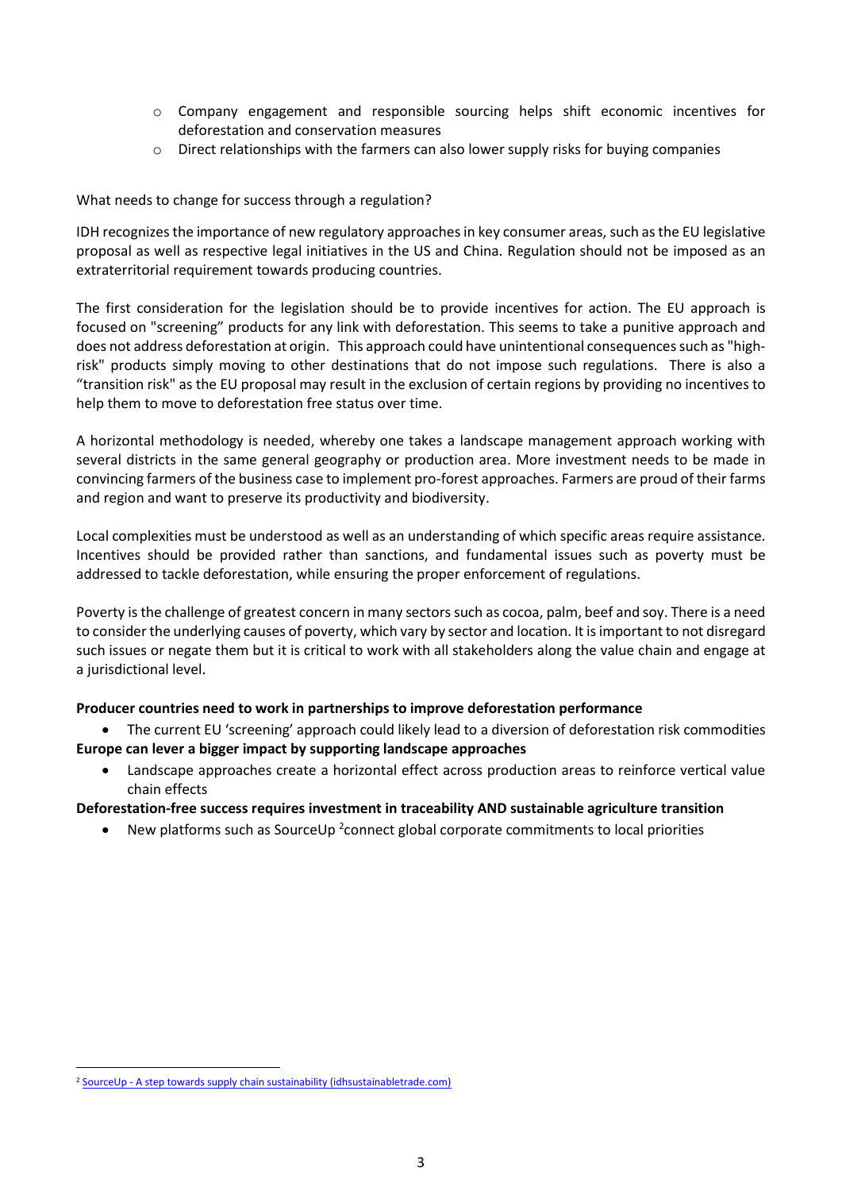- o Company engagement and responsible sourcing helps shift economic incentives for deforestation and conservation measures
- $\circ$  Direct relationships with the farmers can also lower supply risks for buying companies

# What needs to change for success through a regulation?

IDH recognizes the importance of new regulatory approaches in key consumer areas, such as the EU legislative proposal as well as respective legal initiatives in the US and China. Regulation should not be imposed as an extraterritorial requirement towards producing countries.

The first consideration for the legislation should be to provide incentives for action. The EU approach is focused on "screening" products for any link with deforestation. This seems to take a punitive approach and does not address deforestation at origin. This approach could have unintentional consequences such as "highrisk" products simply moving to other destinations that do not impose such regulations. There is also a "transition risk" as the EU proposal may result in the exclusion of certain regions by providing no incentives to help them to move to deforestation free status over time.

A horizontal methodology is needed, whereby one takes a landscape management approach working with several districts in the same general geography or production area. More investment needs to be made in convincing farmers of the business case to implement pro-forest approaches. Farmers are proud of their farms and region and want to preserve its productivity and biodiversity.

Local complexities must be understood as well as an understanding of which specific areas require assistance. Incentives should be provided rather than sanctions, and fundamental issues such as poverty must be addressed to tackle deforestation, while ensuring the proper enforcement of regulations.

Poverty is the challenge of greatest concern in many sectors such as cocoa, palm, beef and soy. There is a need to consider the underlying causes of poverty, which vary by sector and location. It is important to not disregard such issues or negate them but it is critical to work with all stakeholders along the value chain and engage at a jurisdictional level.

# **Producer countries need to work in partnerships to improve deforestation performance**

- The current EU 'screening' approach could likely lead to a diversion of deforestation risk commodities **Europe can lever a bigger impact by supporting landscape approaches**
	- Landscape approaches create a horizontal effect across production areas to reinforce vertical value chain effects

# **Deforestation-free success requires investment in traceability AND sustainable agriculture transition**

• New platforms such as SourceUp<sup>2</sup> connect global corporate commitments to local priorities

<sup>&</sup>lt;sup>2</sup> SourceUp - [A step towards supply chain sustainability \(idhsustainabletrade.com\)](https://www.idhsustainabletrade.com/approach/sourceup/)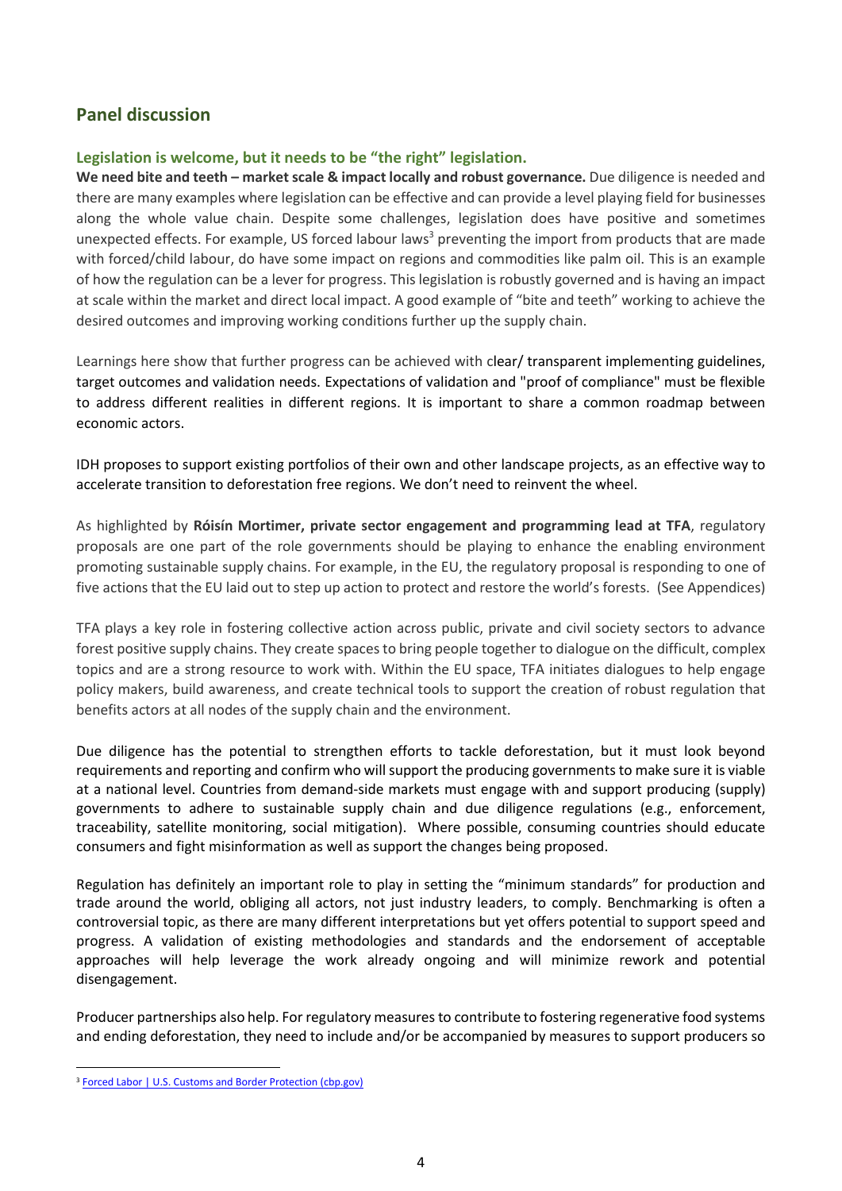# <span id="page-5-0"></span>**Panel discussion**

#### <span id="page-5-1"></span>**Legislation is welcome, but it needs to be "the right" legislation.**

**We need bite and teeth – market scale & impact locally and robust governance.** Due diligence is needed and there are many examples where legislation can be effective and can provide a level playing field for businesses along the whole value chain. Despite some challenges, legislation does have positive and sometimes unexpected effects. For example, US forced labour laws<sup>3</sup> preventing the import from products that are made with forced/child labour, do have some impact on regions and commodities like palm oil. This is an example of how the regulation can be a lever for progress. This legislation is robustly governed and is having an impact at scale within the market and direct local impact. A good example of "bite and teeth" working to achieve the desired outcomes and improving working conditions further up the supply chain.

Learnings here show that further progress can be achieved with clear/ transparent implementing guidelines, target outcomes and validation needs. Expectations of validation and "proof of compliance" must be flexible to address different realities in different regions. It is important to share a common roadmap between economic actors.

IDH proposes to support existing portfolios of their own and other landscape projects, as an effective way to accelerate transition to deforestation free regions. We don't need to reinvent the wheel.

As highlighted by **Róisín Mortimer, private sector engagement and programming lead at TFA**, regulatory proposals are one part of the role governments should be playing to enhance the enabling environment promoting sustainable supply chains. For example, in the EU, the regulatory proposal is responding to one of five actions that the EU laid out to step up action to protect and restore the world's forests. (See Appendices)

TFA plays a key role in fostering collective action across public, private and civil society sectors to advance forest positive supply chains. They create spaces to bring people together to dialogue on the difficult, complex topics and are a strong resource to work with. Within the EU space, TFA initiates dialogues to help engage policy makers, build awareness, and create technical tools to support the creation of robust regulation that benefits actors at all nodes of the supply chain and the environment.

Due diligence has the potential to strengthen efforts to tackle deforestation, but it must look beyond requirements and reporting and confirm who will support the producing governments to make sure it is viable at a national level. Countries from demand-side markets must engage with and support producing (supply) governments to adhere to sustainable supply chain and due diligence regulations (e.g., enforcement, traceability, satellite monitoring, social mitigation). Where possible, consuming countries should educate consumers and fight misinformation as well as support the changes being proposed.

Regulation has definitely an important role to play in setting the "minimum standards" for production and trade around the world, obliging all actors, not just industry leaders, to comply. Benchmarking is often a controversial topic, as there are many different interpretations but yet offers potential to support speed and progress. A validation of existing methodologies and standards and the endorsement of acceptable approaches will help leverage the work already ongoing and will minimize rework and potential disengagement.

Producer partnerships also help. For regulatory measures to contribute to fostering regenerative food systems and ending deforestation, they need to include and/or be accompanied by measures to support producers so

<sup>&</sup>lt;sup>3</sup> [Forced Labor | U.S. Customs and Border Protection \(cbp.gov\)](https://www.cbp.gov/trade/forced-labor)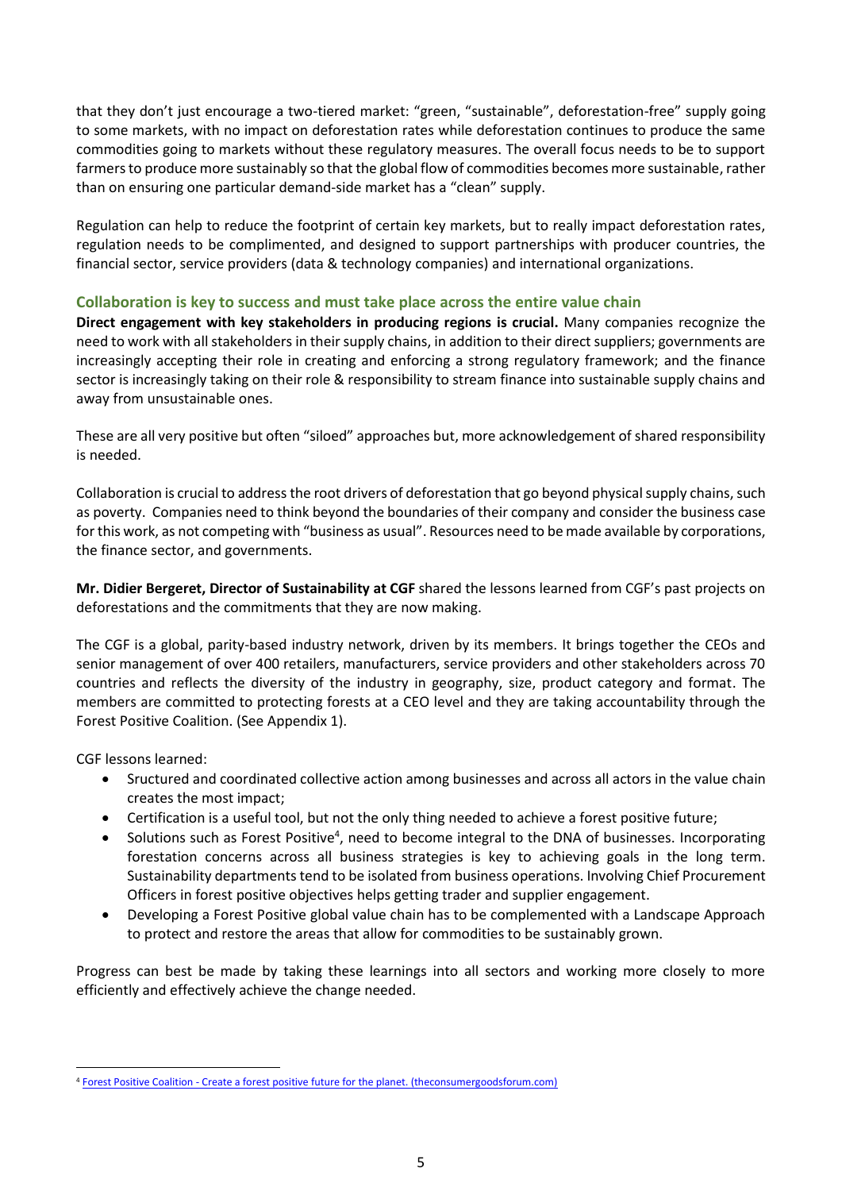that they don't just encourage a two-tiered market: "green, "sustainable", deforestation-free" supply going to some markets, with no impact on deforestation rates while deforestation continues to produce the same commodities going to markets without these regulatory measures. The overall focus needs to be to support farmers to produce more sustainably so that the global flow of commodities becomes more sustainable, rather than on ensuring one particular demand-side market has a "clean" supply.

Regulation can help to reduce the footprint of certain key markets, but to really impact deforestation rates, regulation needs to be complimented, and designed to support partnerships with producer countries, the financial sector, service providers (data & technology companies) and international organizations.

# <span id="page-6-0"></span>**Collaboration is key to success and must take place across the entire value chain**

**Direct engagement with key stakeholders in producing regions is crucial.** Many companies recognize the need to work with all stakeholders in their supply chains, in addition to their direct suppliers; governments are increasingly accepting their role in creating and enforcing a strong regulatory framework; and the finance sector is increasingly taking on their role & responsibility to stream finance into sustainable supply chains and away from unsustainable ones.

These are all very positive but often "siloed" approaches but, more acknowledgement of shared responsibility is needed.

Collaboration is crucial to address the root drivers of deforestation that go beyond physical supply chains, such as poverty. Companies need to think beyond the boundaries of their company and consider the business case for this work, as not competing with "business as usual". Resources need to be made available by corporations, the finance sector, and governments.

**Mr. Didier Bergeret, Director of Sustainability at CGF** shared the lessons learned from CGF's past projects on deforestations and the commitments that they are now making.

The CGF is a global, parity-based industry network, driven by its members. It brings together the CEOs and senior management of over 400 retailers, manufacturers, service providers and other stakeholders across 70 countries and reflects the diversity of the industry in geography, size, product category and format. The members are committed to protecting forests at a CEO level and they are taking accountability through the Forest Positive Coalition. (See Appendix 1).

CGF lessons learned:

- Sructured and coordinated collective action among businesses and across all actors in the value chain creates the most impact;
- Certification is a useful tool, but not the only thing needed to achieve a forest positive future;
- Solutions such as Forest Positive<sup>4</sup>, need to become integral to the DNA of businesses. Incorporating forestation concerns across all business strategies is key to achieving goals in the long term. Sustainability departments tend to be isolated from business operations. Involving Chief Procurement Officers in forest positive objectives helps getting trader and supplier engagement.
- Developing a Forest Positive global value chain has to be complemented with a Landscape Approach to protect and restore the areas that allow for commodities to be sustainably grown.

Progress can best be made by taking these learnings into all sectors and working more closely to more efficiently and effectively achieve the change needed.

<sup>4</sup> Forest Positive Coalition - [Create a forest positive future for the planet. \(theconsumergoodsforum.com\)](https://www.theconsumergoodsforum.com/environmental-sustainability/forest-positive/)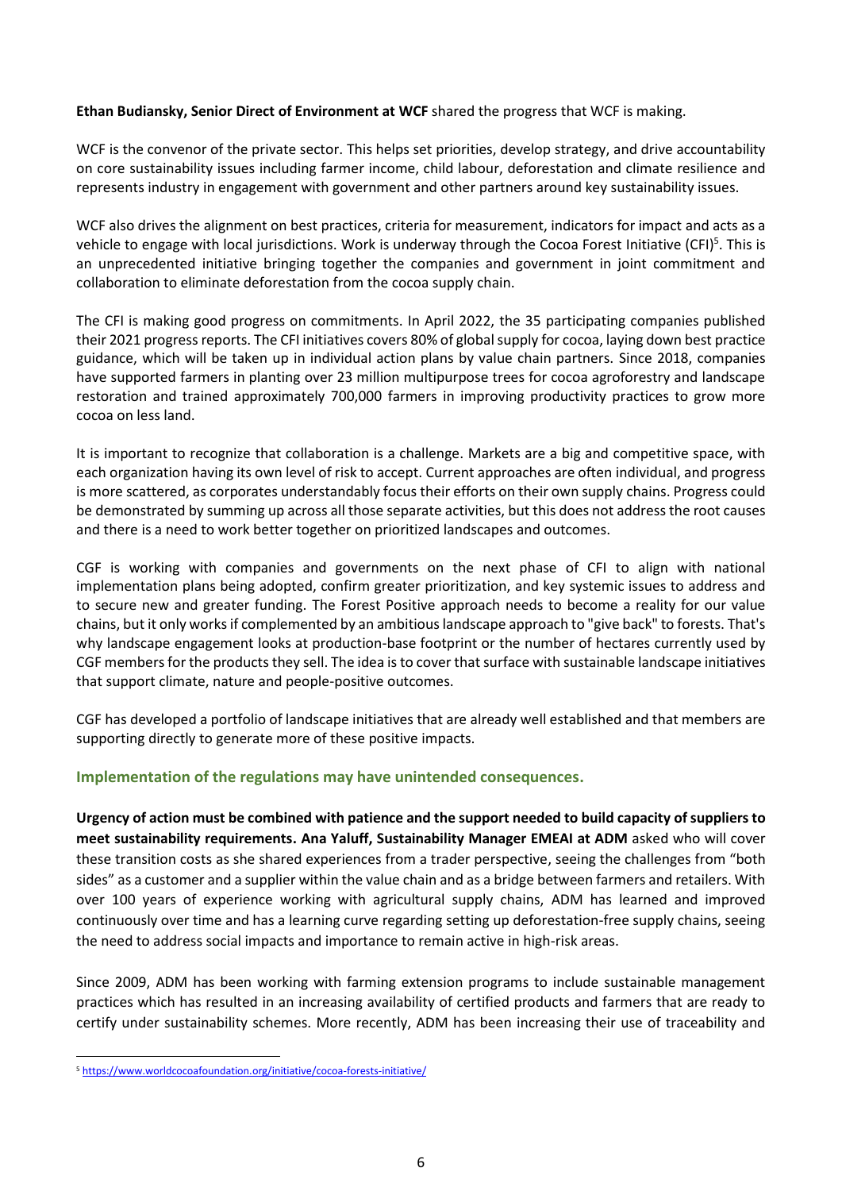#### **Ethan Budiansky, Senior Direct of Environment at WCF** shared the progress that WCF is making.

WCF is the convenor of the private sector. This helps set priorities, develop strategy, and drive accountability on core sustainability issues including farmer income, child labour, deforestation and climate resilience and represents industry in engagement with government and other partners around key sustainability issues.

WCF also drives the alignment on best practices, criteria for measurement, indicators for impact and acts as a vehicle to engage with local jurisdictions. Work is underway through the Cocoa Forest Initiative (CFI)<sup>5</sup>. This is an unprecedented initiative bringing together the companies and government in joint commitment and collaboration to eliminate deforestation from the cocoa supply chain.

The CFI is making good progress on commitments. In April 2022, the 35 participating companies published their 2021 progress reports. The CFI initiatives covers 80% of global supply for cocoa, laying down best practice guidance, which will be taken up in individual action plans by value chain partners. Since 2018, companies have supported farmers in planting over 23 million multipurpose trees for cocoa agroforestry and landscape restoration and trained approximately 700,000 farmers in improving productivity practices to grow more cocoa on less land.

It is important to recognize that collaboration is a challenge. Markets are a big and competitive space, with each organization having its own level of risk to accept. Current approaches are often individual, and progress is more scattered, as corporates understandably focus their efforts on their own supply chains. Progress could be demonstrated by summing up across all those separate activities, but this does not address the root causes and there is a need to work better together on prioritized landscapes and outcomes.

CGF is working with companies and governments on the next phase of CFI to align with national implementation plans being adopted, confirm greater prioritization, and key systemic issues to address and to secure new and greater funding. The Forest Positive approach needs to become a reality for our value chains, but it only works if complemented by an ambitious landscape approach to "give back" to forests. That's why landscape engagement looks at production-base footprint or the number of hectares currently used by CGF members for the products they sell. The idea isto cover that surface with sustainable landscape initiatives that support climate, nature and people-positive outcomes.

CGF has developed a portfolio of landscape initiatives that are already well established and that members are supporting directly to generate more of these positive impacts.

# <span id="page-7-0"></span>**Implementation of the regulations may have unintended consequences.**

**Urgency of action must be combined with patience and the support needed to build capacity of suppliers to meet sustainability requirements. Ana Yaluff, Sustainability Manager EMEAI at ADM** asked who will cover these transition costs as she shared experiences from a trader perspective, seeing the challenges from "both sides" as a customer and a supplier within the value chain and as a bridge between farmers and retailers. With over 100 years of experience working with agricultural supply chains, ADM has learned and improved continuously over time and has a learning curve regarding setting up deforestation-free supply chains, seeing the need to address social impacts and importance to remain active in high-risk areas.

Since 2009, ADM has been working with farming extension programs to include sustainable management practices which has resulted in an increasing availability of certified products and farmers that are ready to certify under sustainability schemes. More recently, ADM has been increasing their use of traceability and

<sup>5</sup> <https://www.worldcocoafoundation.org/initiative/cocoa-forests-initiative/>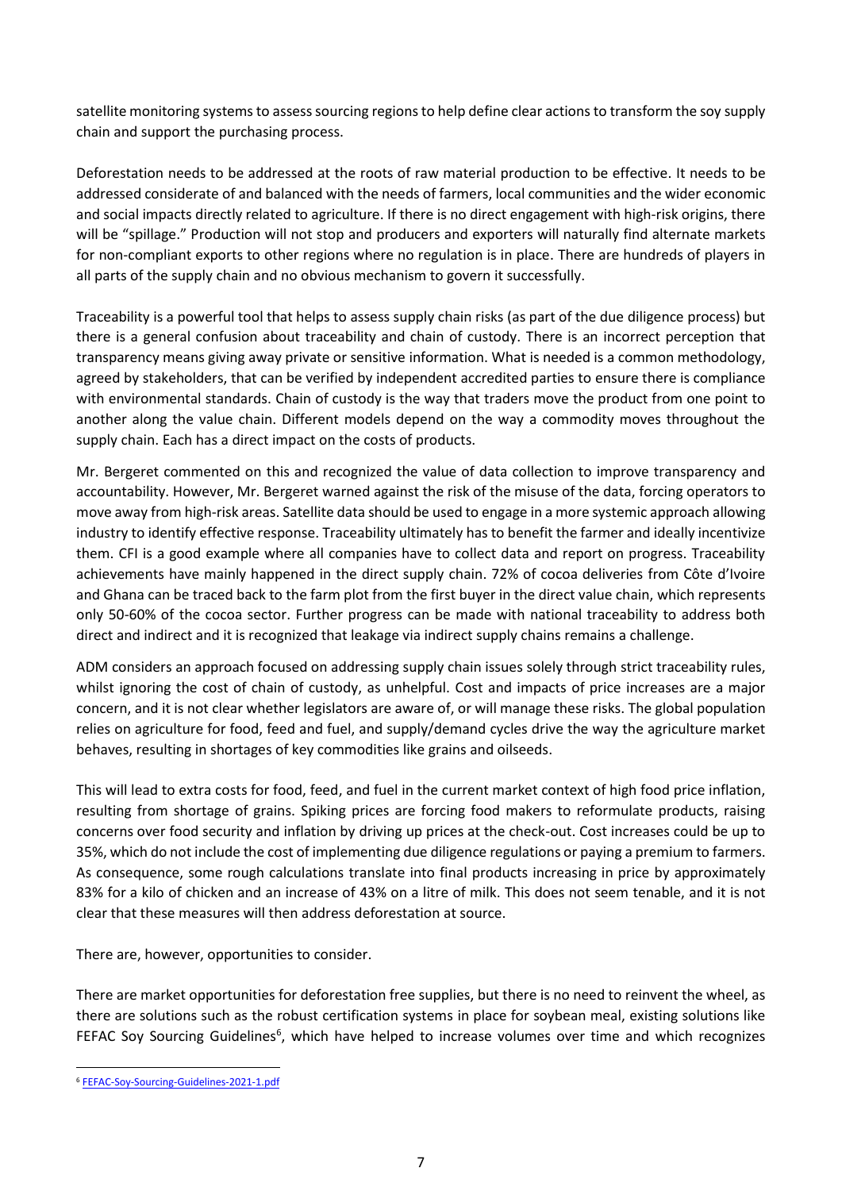satellite monitoring systems to assess sourcing regionsto help define clear actions to transform the soy supply chain and support the purchasing process.

Deforestation needs to be addressed at the roots of raw material production to be effective. It needs to be addressed considerate of and balanced with the needs of farmers, local communities and the wider economic and social impacts directly related to agriculture. If there is no direct engagement with high-risk origins, there will be "spillage." Production will not stop and producers and exporters will naturally find alternate markets for non-compliant exports to other regions where no regulation is in place. There are hundreds of players in all parts of the supply chain and no obvious mechanism to govern it successfully.

Traceability is a powerful tool that helps to assess supply chain risks (as part of the due diligence process) but there is a general confusion about traceability and chain of custody. There is an incorrect perception that transparency means giving away private or sensitive information. What is needed is a common methodology, agreed by stakeholders, that can be verified by independent accredited parties to ensure there is compliance with environmental standards. Chain of custody is the way that traders move the product from one point to another along the value chain. Different models depend on the way a commodity moves throughout the supply chain. Each has a direct impact on the costs of products.

Mr. Bergeret commented on this and recognized the value of data collection to improve transparency and accountability. However, Mr. Bergeret warned against the risk of the misuse of the data, forcing operators to move away from high-risk areas. Satellite data should be used to engage in a more systemic approach allowing industry to identify effective response. Traceability ultimately has to benefit the farmer and ideally incentivize them. CFI is a good example where all companies have to collect data and report on progress. Traceability achievements have mainly happened in the direct supply chain. 72% of cocoa deliveries from Côte d'Ivoire and Ghana can be traced back to the farm plot from the first buyer in the direct value chain, which represents only 50-60% of the cocoa sector. Further progress can be made with national traceability to address both direct and indirect and it is recognized that leakage via indirect supply chains remains a challenge.

ADM considers an approach focused on addressing supply chain issues solely through strict traceability rules, whilst ignoring the cost of chain of custody, as unhelpful. Cost and impacts of price increases are a major concern, and it is not clear whether legislators are aware of, or will manage these risks. The global population relies on agriculture for food, feed and fuel, and supply/demand cycles drive the way the agriculture market behaves, resulting in shortages of key commodities like grains and oilseeds.

This will lead to extra costs for food, feed, and fuel in the current market context of high food price inflation, resulting from shortage of grains. Spiking prices are forcing food makers to reformulate products, raising concerns over food security and inflation by driving up prices at the check-out. Cost increases could be up to 35%, which do not include the cost of implementing due diligence regulations or paying a premium to farmers. As consequence, some rough calculations translate into final products increasing in price by approximately 83% for a kilo of chicken and an increase of 43% on a litre of milk. This does not seem tenable, and it is not clear that these measures will then address deforestation at source.

There are, however, opportunities to consider.

There are market opportunities for deforestation free supplies, but there is no need to reinvent the wheel, as there are solutions such as the robust certification systems in place for soybean meal, existing solutions like FEFAC Soy Sourcing Guidelines<sup>6</sup>, which have helped to increase volumes over time and which recognizes

<sup>6</sup> [FEFAC-Soy-Sourcing-Guidelines-2021-1.pdf](https://fefac.eu/wp-content/uploads/2021/02/FEFAC-Soy-Sourcing-Guidelines-2021-1.pdf)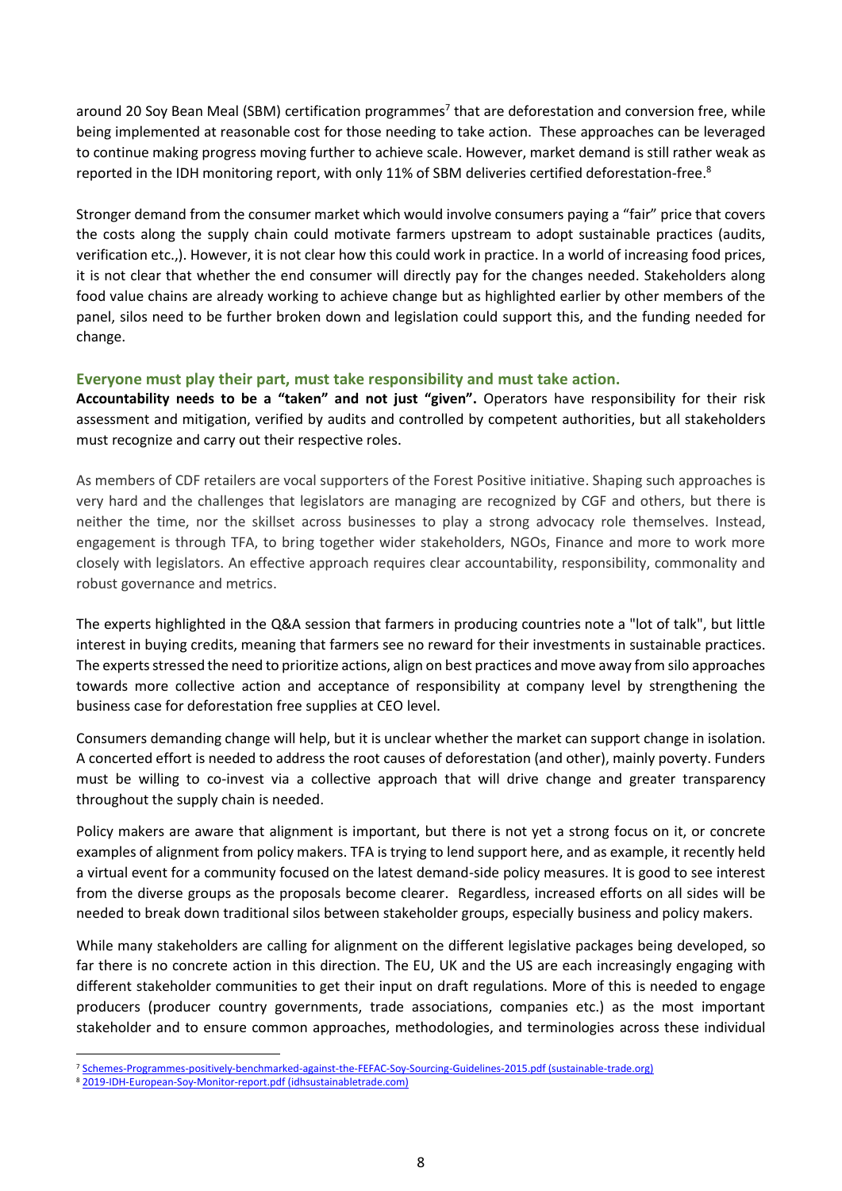around 20 Soy Bean Meal (SBM) certification programmes<sup>7</sup> that are deforestation and conversion free, while being implemented at reasonable cost for those needing to take action. These approaches can be leveraged to continue making progress moving further to achieve scale. However, market demand is still rather weak as reported in the IDH monitoring report, with only 11% of SBM deliveries certified deforestation-free.<sup>8</sup>

Stronger demand from the consumer market which would involve consumers paying a "fair" price that covers the costs along the supply chain could motivate farmers upstream to adopt sustainable practices (audits, verification etc.,). However, it is not clear how this could work in practice. In a world of increasing food prices, it is not clear that whether the end consumer will directly pay for the changes needed. Stakeholders along food value chains are already working to achieve change but as highlighted earlier by other members of the panel, silos need to be further broken down and legislation could support this, and the funding needed for change.

#### <span id="page-9-0"></span>**Everyone must play their part, must take responsibility and must take action.**

**Accountability needs to be a "taken" and not just "given".** Operators have responsibility for their risk assessment and mitigation, verified by audits and controlled by competent authorities, but all stakeholders must recognize and carry out their respective roles.

As members of CDF retailers are vocal supporters of the Forest Positive initiative. Shaping such approaches is very hard and the challenges that legislators are managing are recognized by CGF and others, but there is neither the time, nor the skillset across businesses to play a strong advocacy role themselves. Instead, engagement is through TFA, to bring together wider stakeholders, NGOs, Finance and more to work more closely with legislators. An effective approach requires clear accountability, responsibility, commonality and robust governance and metrics.

The experts highlighted in the Q&A session that farmers in producing countries note a "lot of talk", but little interest in buying credits, meaning that farmers see no reward for their investments in sustainable practices. The experts stressed the need to prioritize actions, align on best practices and move away from silo approaches towards more collective action and acceptance of responsibility at company level by strengthening the business case for deforestation free supplies at CEO level.

Consumers demanding change will help, but it is unclear whether the market can support change in isolation. A concerted effort is needed to address the root causes of deforestation (and other), mainly poverty. Funders must be willing to co-invest via a collective approach that will drive change and greater transparency throughout the supply chain is needed.

Policy makers are aware that alignment is important, but there is not yet a strong focus on it, or concrete examples of alignment from policy makers. TFA is trying to lend support here, and as example, it recently held a virtual event for a community focused on the latest demand-side policy measures. It is good to see interest from the diverse groups as the proposals become clearer. Regardless, increased efforts on all sides will be needed to break down traditional silos between stakeholder groups, especially business and policy makers.

While many stakeholders are calling for alignment on the different legislative packages being developed, so far there is no concrete action in this direction. The EU, UK and the US are each increasingly engaging with different stakeholder communities to get their input on draft regulations. More of this is needed to engage producers (producer country governments, trade associations, companies etc.) as the most important stakeholder and to ensure common approaches, methodologies, and terminologies across these individual

<sup>7</sup> [Schemes-Programmes-positively-benchmarked-against-the-FEFAC-Soy-Sourcing-Guidelines-2015.pdf \(sustainable-trade.org\)](https://sm.sustainable-trade.org/wp-content/uploads/2021/04/Schemes-Programmes-positively-benchmarked-against-the-FEFAC-Soy-Sourcing-Guidelines-2015.pdf)

<sup>8</sup> [2019-IDH-European-Soy-Monitor-report.pdf \(idhsustainabletrade.com\)](https://www.idhsustainabletrade.com/uploaded/2021/06/2019-IDH-European-Soy-Monitor-report.pdf)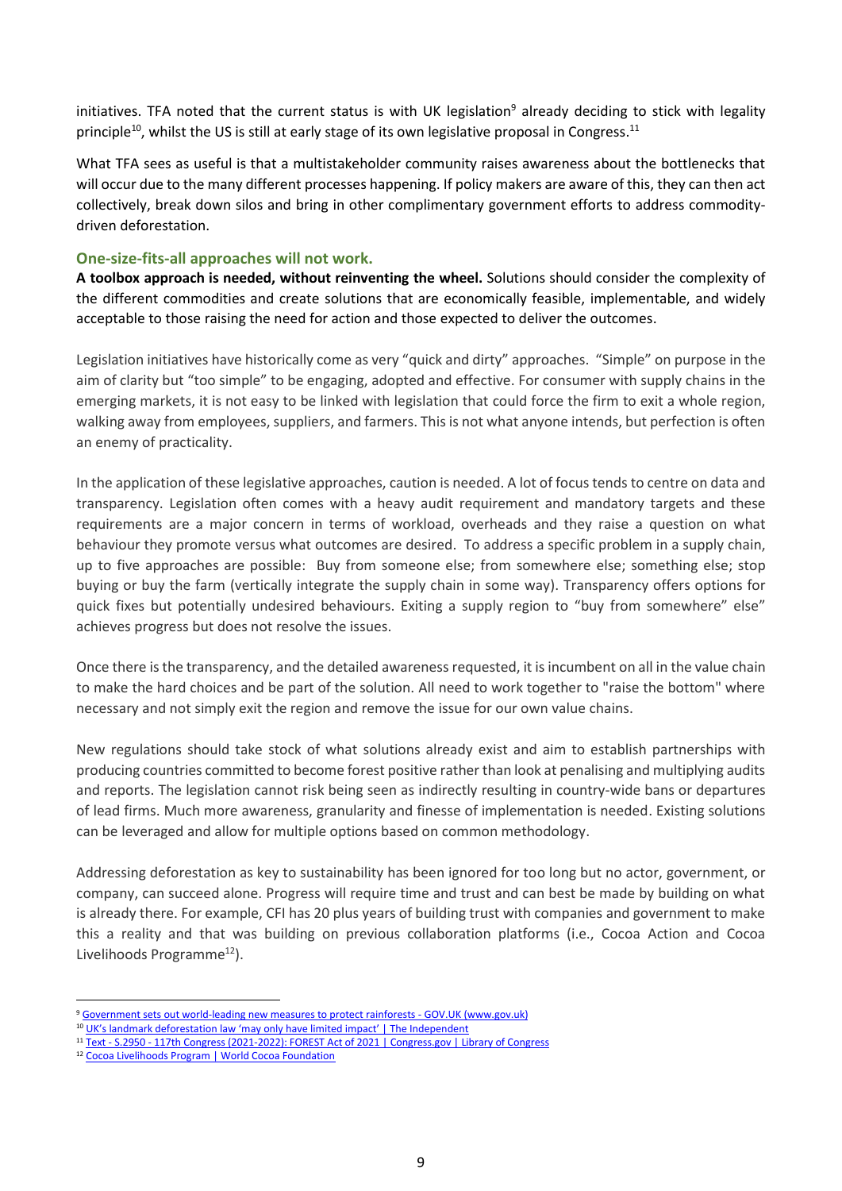initiatives. TFA noted that the current status is with UK legislation<sup>9</sup> already deciding to stick with legality principle<sup>10</sup>, whilst the US is still at early stage of its own legislative proposal in Congress.<sup>11</sup>

What TFA sees as useful is that a multistakeholder community raises awareness about the bottlenecks that will occur due to the many different processes happening. If policy makers are aware of this, they can then act collectively, break down silos and bring in other complimentary government efforts to address commoditydriven deforestation.

#### <span id="page-10-0"></span>**One-size-fits-all approaches will not work.**

**A toolbox approach is needed, without reinventing the wheel.** Solutions should consider the complexity of the different commodities and create solutions that are economically feasible, implementable, and widely acceptable to those raising the need for action and those expected to deliver the outcomes.

Legislation initiatives have historically come as very "quick and dirty" approaches. "Simple" on purpose in the aim of clarity but "too simple" to be engaging, adopted and effective. For consumer with supply chains in the emerging markets, it is not easy to be linked with legislation that could force the firm to exit a whole region, walking away from employees, suppliers, and farmers. This is not what anyone intends, but perfection is often an enemy of practicality.

In the application of these legislative approaches, caution is needed. A lot of focus tends to centre on data and transparency. Legislation often comes with a heavy audit requirement and mandatory targets and these requirements are a major concern in terms of workload, overheads and they raise a question on what behaviour they promote versus what outcomes are desired. To address a specific problem in a supply chain, up to five approaches are possible: Buy from someone else; from somewhere else; something else; stop buying or buy the farm (vertically integrate the supply chain in some way). Transparency offers options for quick fixes but potentially undesired behaviours. Exiting a supply region to "buy from somewhere" else" achieves progress but does not resolve the issues.

Once there is the transparency, and the detailed awareness requested, it is incumbent on all in the value chain to make the hard choices and be part of the solution. All need to work together to "raise the bottom" where necessary and not simply exit the region and remove the issue for our own value chains.

New regulations should take stock of what solutions already exist and aim to establish partnerships with producing countries committed to become forest positive rather than look at penalising and multiplying audits and reports. The legislation cannot risk being seen as indirectly resulting in country-wide bans or departures of lead firms. Much more awareness, granularity and finesse of implementation is needed. Existing solutions can be leveraged and allow for multiple options based on common methodology.

Addressing deforestation as key to sustainability has been ignored for too long but no actor, government, or company, can succeed alone. Progress will require time and trust and can best be made by building on what is already there. For example, CFI has 20 plus years of building trust with companies and government to make this a reality and that was building on previous collaboration platforms (i.e., Cocoa Action and Cocoa Livelihoods Programme<sup>12</sup>).

<sup>9</sup> [Government sets out world-leading new measures to protect rainforests -](https://www.gov.uk/government/news/government-sets-out-world-leading-new-measures-to-protect-rainforests) GOV.UK (www.gov.uk)

<sup>&</sup>lt;sup>10</sup> UK's [landmark deforestation law 'may only have limited impact' | The Independent](https://www.independent.co.uk/climate-change/news/uk-deforestation-law-climate-change-b1908714.html)

<sup>11</sup> Text - S.2950 - [117th Congress \(2021-2022\): FOREST Act of 2021 | Congress.gov | Library of Congress](https://www.congress.gov/bill/117th-congress/senate-bill/2950/text)

<sup>12</sup> [Cocoa Livelihoods Program | World Cocoa Foundation](https://eur03.safelinks.protection.outlook.com/?url=https%3A%2F%2Fwww.worldcocoafoundation.org%2Finitiative%2Fcocoa-livelihoods-program%2F&data=05%7C01%7Cmsummerer%40intracen.org%7C7036ad3ef0a948fbc8e908da430a5451%7Cc3476d307bc34f9b9d15f444947ff4cd%7C0%7C0%7C637896009453364370%7CUnknown%7CTWFpbGZsb3d8eyJWIjoiMC4wLjAwMDAiLCJQIjoiV2luMzIiLCJBTiI6Ik1haWwiLCJXVCI6Mn0%3D%7C1000%7C%7C%7C&sdata=cjxgb7cM19NscjjFmBRtHB8SvuL0moHNJAdhjYMNS%2F8%3D&reserved=0)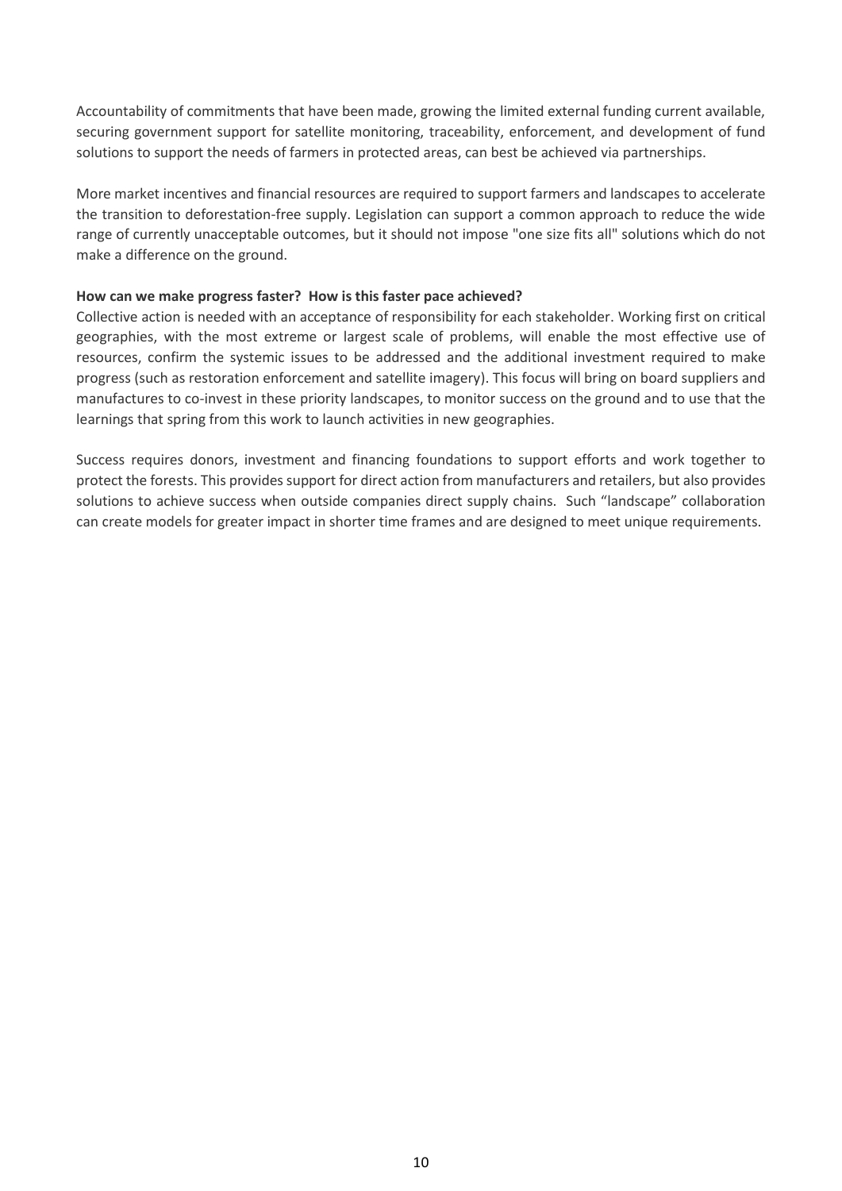Accountability of commitments that have been made, growing the limited external funding current available, securing government support for satellite monitoring, traceability, enforcement, and development of fund solutions to support the needs of farmers in protected areas, can best be achieved via partnerships.

More market incentives and financial resources are required to support farmers and landscapes to accelerate the transition to deforestation-free supply. Legislation can support a common approach to reduce the wide range of currently unacceptable outcomes, but it should not impose "one size fits all" solutions which do not make a difference on the ground.

#### **How can we make progress faster? How is this faster pace achieved?**

Collective action is needed with an acceptance of responsibility for each stakeholder. Working first on critical geographies, with the most extreme or largest scale of problems, will enable the most effective use of resources, confirm the systemic issues to be addressed and the additional investment required to make progress (such as restoration enforcement and satellite imagery). This focus will bring on board suppliers and manufactures to co-invest in these priority landscapes, to monitor success on the ground and to use that the learnings that spring from this work to launch activities in new geographies.

Success requires donors, investment and financing foundations to support efforts and work together to protect the forests. This provides support for direct action from manufacturers and retailers, but also provides solutions to achieve success when outside companies direct supply chains. Such "landscape" collaboration can create models for greater impact in shorter time frames and are designed to meet unique requirements.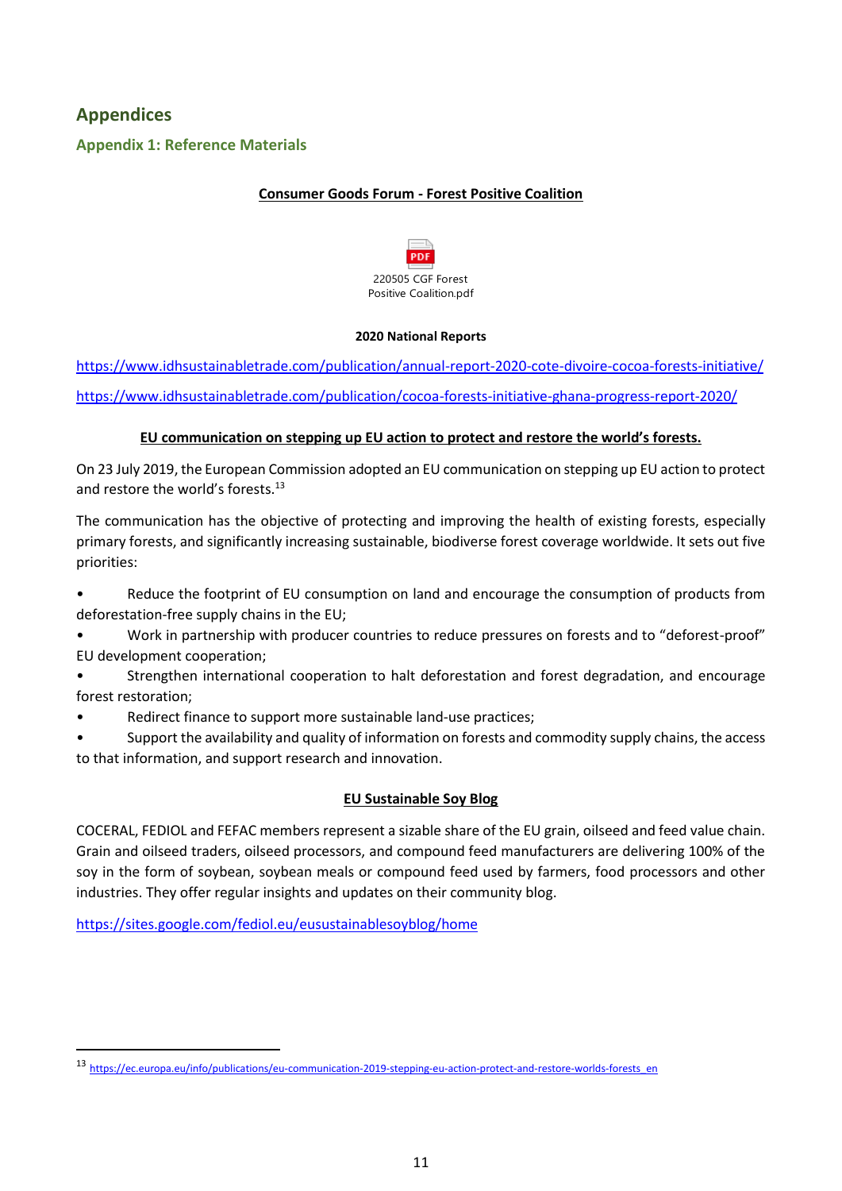# <span id="page-12-0"></span>**Appendices**

# <span id="page-12-1"></span>**Appendix 1: Reference Materials**

# **Consumer Goods Forum - Forest Positive Coalition**



#### **2020 National Reports**

<https://www.idhsustainabletrade.com/publication/annual-report-2020-cote-divoire-cocoa-forests-initiative/> <https://www.idhsustainabletrade.com/publication/cocoa-forests-initiative-ghana-progress-report-2020/>

#### **EU communication on stepping up EU action to protect and restore the world's forests.**

On 23 July 2019, the European Commission adopted an EU communication on stepping up EU action to protect and restore the world's forests.<sup>13</sup>

The communication has the objective of protecting and improving the health of existing forests, especially primary forests, and significantly increasing sustainable, biodiverse forest coverage worldwide. It sets out five priorities:

Reduce the footprint of EU consumption on land and encourage the consumption of products from deforestation-free supply chains in the EU;

- Work in partnership with producer countries to reduce pressures on forests and to "deforest-proof" EU development cooperation;
- Strengthen international cooperation to halt deforestation and forest degradation, and encourage forest restoration;
- Redirect finance to support more sustainable land-use practices;
- Support the availability and quality of information on forests and commodity supply chains, the access to that information, and support research and innovation.

# **EU Sustainable Soy Blog**

COCERAL, FEDIOL and FEFAC members represent a sizable share of the EU grain, oilseed and feed value chain. Grain and oilseed traders, oilseed processors, and compound feed manufacturers are delivering 100% of the soy in the form of soybean, soybean meals or compound feed used by farmers, food processors and other industries. They offer regular insights and updates on their community blog.

<https://sites.google.com/fediol.eu/eusustainablesoyblog/home>

<sup>13</sup> [https://ec.europa.eu/info/publications/eu-communication-2019-stepping-eu-action-protect-and-restore-worlds-forests\\_en](https://ec.europa.eu/info/publications/eu-communication-2019-stepping-eu-action-protect-and-restore-worlds-forests_en)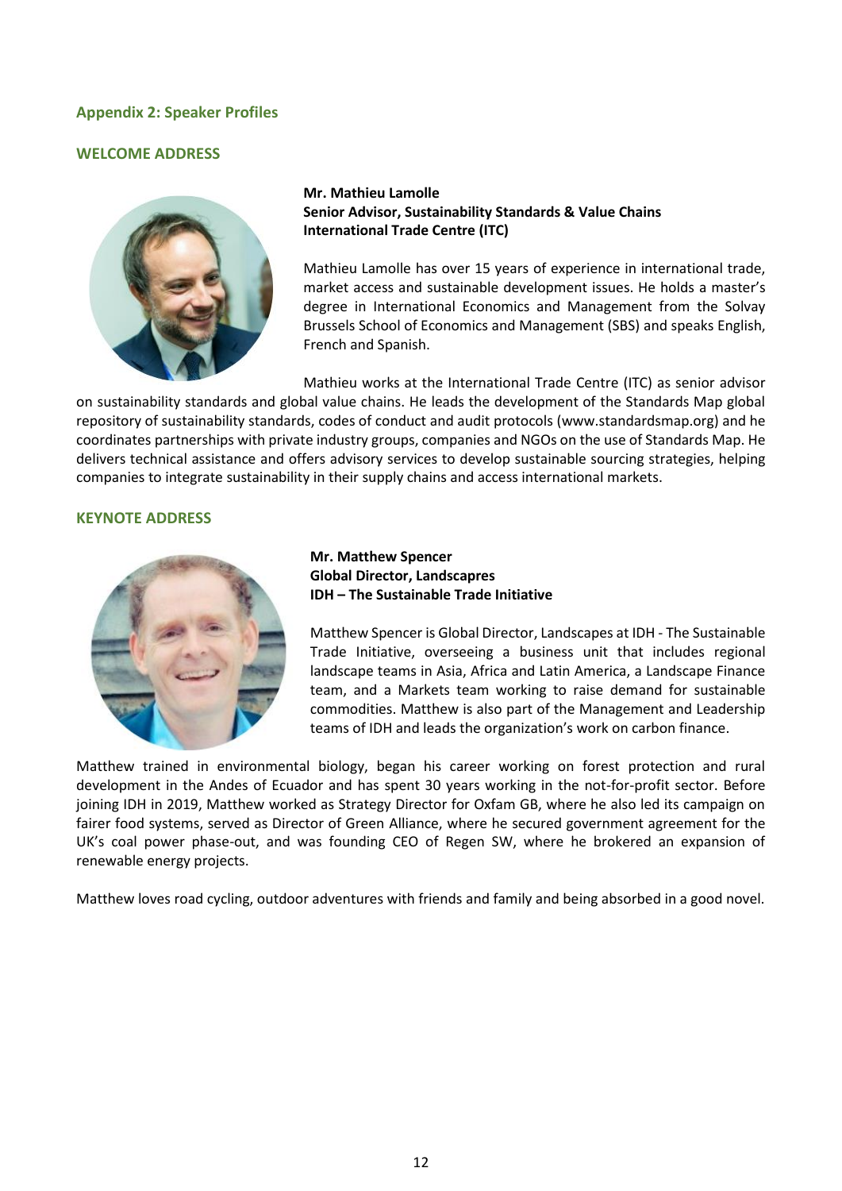### <span id="page-13-0"></span>**Appendix 2: Speaker Profiles**

#### **WELCOME ADDRESS**



**Mr. Mathieu Lamolle Senior Advisor, Sustainability Standards & Value Chains International Trade Centre (ITC)**

Mathieu Lamolle has over 15 years of experience in international trade, market access and sustainable development issues. He holds a master's degree in International Economics and Management from the Solvay Brussels School of Economics and Management (SBS) and speaks English, French and Spanish.

Mathieu works at the International Trade Centre (ITC) as senior advisor on sustainability standards and global value chains. He leads the development of the Standards Map global repository of sustainability standards, codes of conduct and audit protocols [\(www.standardsmap.org\)](http://www.standardsmap.org/) and he coordinates partnerships with private industry groups, companies and NGOs on the use of Standards Map. He delivers technical assistance and offers advisory services to develop sustainable sourcing strategies, helping companies to integrate sustainability in their supply chains and access international markets.

#### **KEYNOTE ADDRESS**



**Mr. Matthew Spencer Global Director, Landscapres IDH – The Sustainable Trade Initiative** 

Matthew Spencer is Global Director, Landscapes at IDH - The Sustainable Trade Initiative, overseeing a business unit that includes regional landscape teams in Asia, Africa and Latin America, a Landscape Finance team, and a Markets team working to raise demand for sustainable commodities. Matthew is also part of the Management and Leadership teams of IDH and leads the organization's work on carbon finance.

Matthew trained in environmental biology, began his career working on forest protection and rural development in the Andes of Ecuador and has spent 30 years working in the not-for-profit sector. Before joining IDH in 2019, Matthew worked as Strategy Director for Oxfam GB, where he also led its campaign on fairer food systems, served as Director of Green Alliance, where he secured government agreement for the UK's coal power phase-out, and was founding CEO of Regen SW, where he brokered an expansion of renewable energy projects.

Matthew loves road cycling, outdoor adventures with friends and family and being absorbed in a good novel.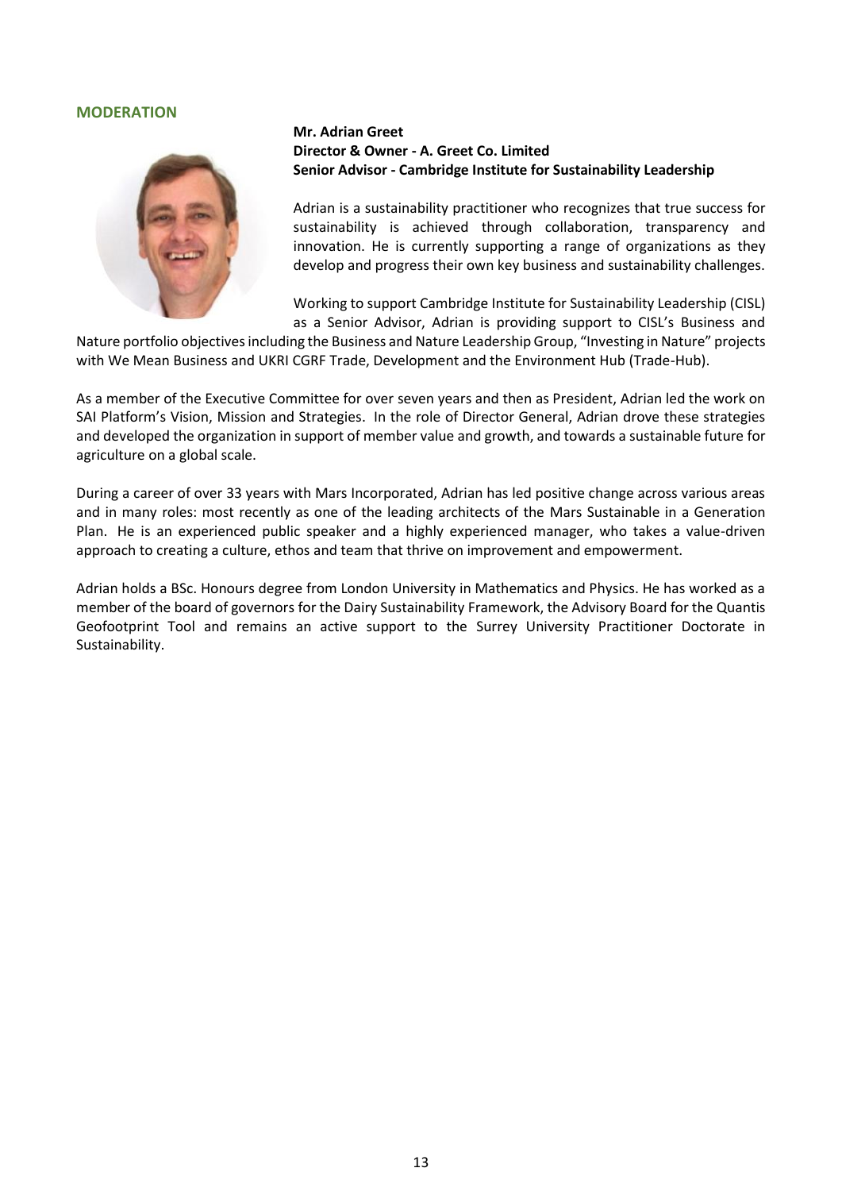#### **MODERATION**



### **Mr. Adrian Greet Director & Owner - A. Greet Co. Limited Senior Advisor - Cambridge Institute for Sustainability Leadership**

Adrian is a sustainability practitioner who recognizes that true success for sustainability is achieved through collaboration, transparency and innovation. He is currently supporting a range of organizations as they develop and progress their own key business and sustainability challenges.

Working to support Cambridge Institute for Sustainability Leadership (CISL) as a Senior Advisor, Adrian is providing support to CISL's Business and

Nature portfolio objectives including the Business and Nature Leadership Group, "Investing in Nature" projects with We Mean Business and UKRI CGRF Trade, Development and the Environment Hub (Trade-Hub).

As a member of the Executive Committee for over seven years and then as President, Adrian led the work on SAI Platform's [Vision, Mission and Strategies.](https://saiplatform.org/pressroom/256/33/SAI-Platform-s-New-Vision-and-Mission) In the role of Director General, Adrian drove these strategies and developed the organization in support of member value and growth, and towards a sustainable future for agriculture on a global scale.

During a career of over 33 years with Mars Incorporated, Adrian has led positive change across various areas and in many roles: most recently as one of the leading architects of the [Mars Sustainable in a Generation](https://www.mars.com/global/sustainable-in-a-generation)  [Plan.](https://www.mars.com/global/sustainable-in-a-generation) He is an experienced public speaker and a highly experienced manager, who takes a value-driven approach to creating a culture, ethos and team that thrive on improvement and empowerment.

Adrian holds a BSc. Honours degree from London University in Mathematics and Physics. He has worked as a member of the board of governors for th[e Dairy Sustainability Framework,](https://dairysustainabilityframework.org/) the Advisory Board for th[e Quantis](https://quantis-intl.com/geofootprint-tool-will-accelerate-decarbonization-of-the-agricultural-sector/)  [Geofootprint Tool](https://quantis-intl.com/geofootprint-tool-will-accelerate-decarbonization-of-the-agricultural-sector/) and remains an active support to the [Surrey University Practitioner Doctorate in](https://www.surrey.ac.uk/centre-environment-sustainability/postgraduate-study/practitioner-doctorate-sustainability)  [Sustainability.](https://www.surrey.ac.uk/centre-environment-sustainability/postgraduate-study/practitioner-doctorate-sustainability)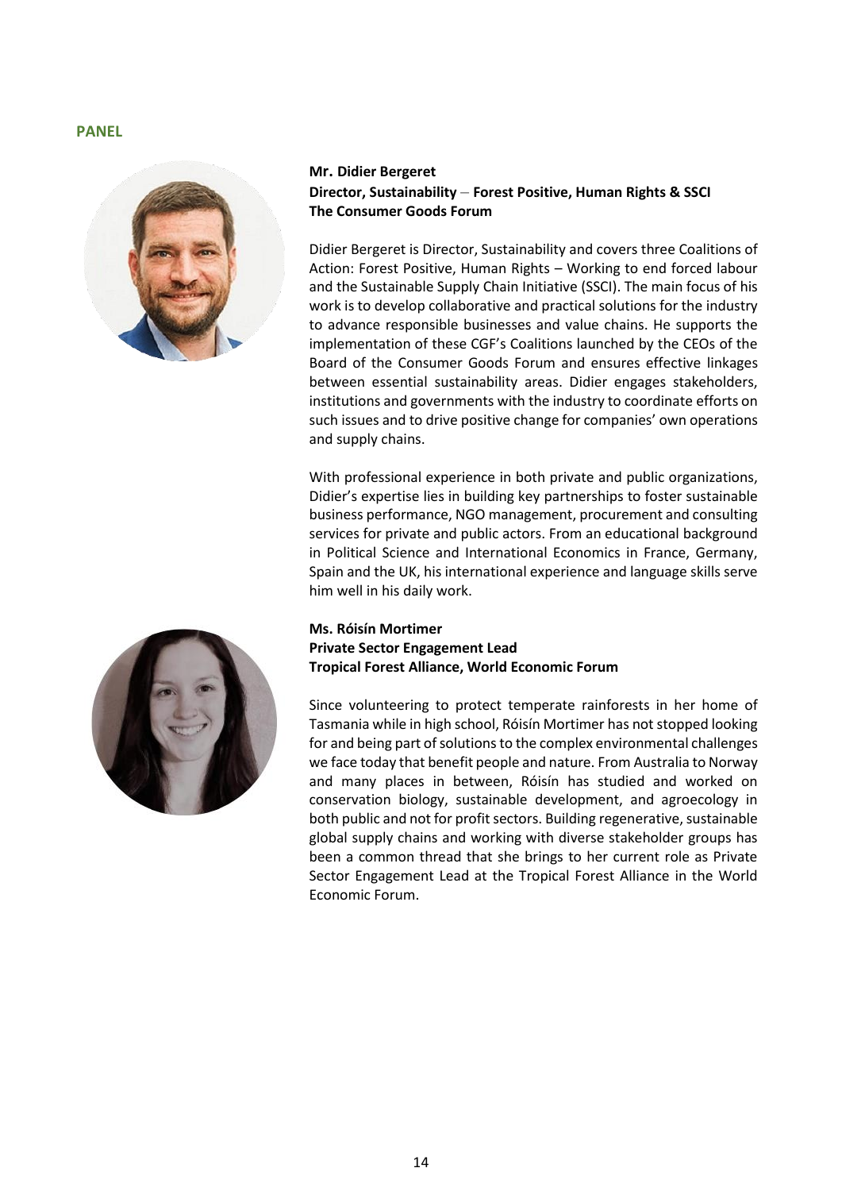#### **PANEL**



# **Mr. Didier Bergeret Director, Sustainability** – **Forest Positive, Human Rights & SSCI The Consumer Goods Forum**

Didier Bergeret is Director, Sustainability and covers three Coalitions of Action: Forest Positive, Human Rights – Working to end forced labour and the Sustainable Supply Chain Initiative (SSCI). The main focus of his work is to develop collaborative and practical solutions for the industry to advance responsible businesses and value chains. He supports the implementation of these CGF's Coalitions launched by the CEOs of the Board of the Consumer Goods Forum and ensures effective linkages between essential sustainability areas. Didier engages stakeholders, institutions and governments with the industry to coordinate efforts on such issues and to drive positive change for companies' own operations and supply chains.

With professional experience in both private and public organizations, Didier's expertise lies in building key partnerships to foster sustainable business performance, NGO management, procurement and consulting services for private and public actors. From an educational background in Political Science and International Economics in France, Germany, Spain and the UK, his international experience and language skills serve him well in his daily work.

### **Ms. Róisín Mortimer Private Sector Engagement Lead Tropical Forest Alliance, World Economic Forum**

Since volunteering to protect temperate rainforests in her home of Tasmania while in high school, Róisín Mortimer has not stopped looking for and being part of solutions to the complex environmental challenges we face today that benefit people and nature. From Australia to Norway and many places in between, Róisín has studied and worked on conservation biology, sustainable development, and agroecology in both public and not for profit sectors. Building regenerative, sustainable global supply chains and working with diverse stakeholder groups has been a common thread that she brings to her current role as Private Sector Engagement Lead at the Tropical Forest Alliance in the World Economic Forum.